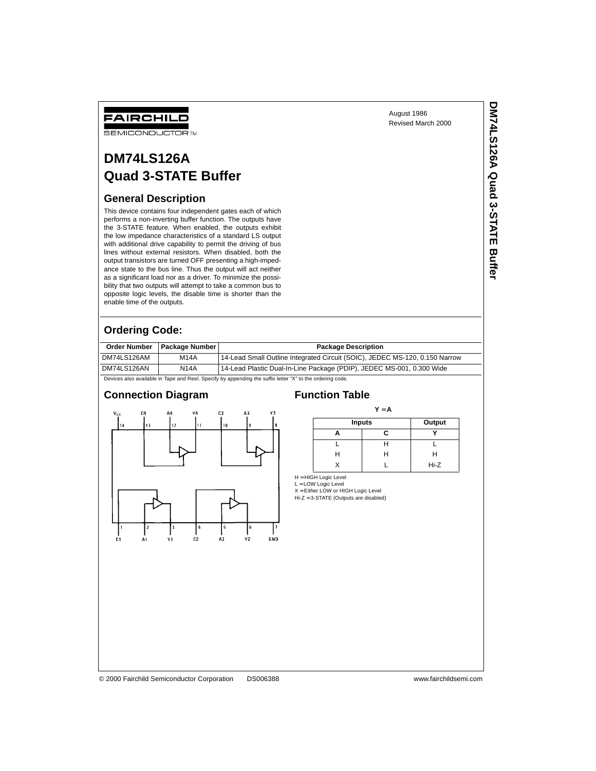August 1986 Revised March 2000 **DM74LS126A Quad 3-STATE Buffer**

DM74LS126A Quad 3-STATE Buffer

# FAIRCHILD

**SEMICONDUCTOR TM** 

# **DM74LS126A Quad 3-STATE Buffer**

### **General Description**

This device contains four independent gates each of which performs a non-inverting buffer function. The outputs have the 3-STATE feature. When enabled, the outputs exhibit the low impedance characteristics of a standard LS output with additional drive capability to permit the driving of bus lines without external resistors. When disabled, both the output transistors are turned OFF presenting a high-impedance state to the bus line. Thus the output will act neither as a significant load nor as a driver. To minimize the possibility that two outputs will attempt to take a common bus to opposite logic levels, the disable time is shorter than the enable time of the outputs.

## **Ordering Code:**

|                                                                                                           | Order Number   Package Number | <b>Package Description</b>                                                  |  |  |
|-----------------------------------------------------------------------------------------------------------|-------------------------------|-----------------------------------------------------------------------------|--|--|
| DM74LS126AM                                                                                               | <b>M14A</b>                   | 14-Lead Small Outline Integrated Circuit (SOIC), JEDEC MS-120, 0.150 Narrow |  |  |
| DM74LS126AN                                                                                               | <b>N14A</b>                   | 14-Lead Plastic Dual-In-Line Package (PDIP), JEDEC MS-001, 0.300 Wide       |  |  |
| Devices also available in Tape and Reel. Specify by appending the suffix letter "X" to the ordering code. |                               |                                                                             |  |  |

### **Connection Diagram Function Table**



### $Y = A$

| <b>Inputs</b> | Output |        |
|---------------|--------|--------|
|               | r      |        |
|               |        |        |
|               |        |        |
|               |        | $Hi-Z$ |

 $H = HIGH Logic Level$ 

L = LOW Logic Level X = Either LOW or HIGH Logic Level

Hi-Z = 3-STATE (Outputs are disabled)

© 2000 Fairchild Semiconductor Corporation DS006388 www.fairchildsemi.com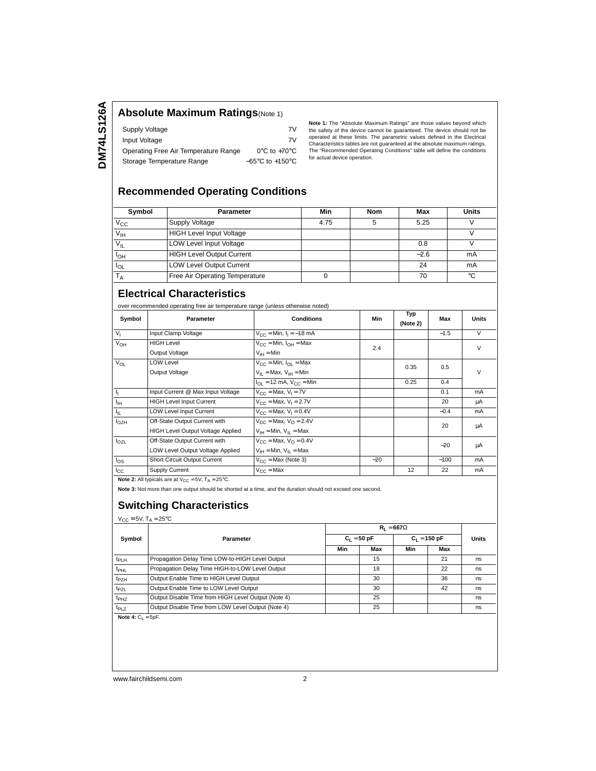### **Absolute Maximum Ratings**(Note 1)

| Supply Voltage                       | 7V                                  |
|--------------------------------------|-------------------------------------|
| Input Voltage                        | 7V                                  |
| Operating Free Air Temperature Range | $0^{\circ}$ C to +70 $^{\circ}$ C   |
| Storage Temperature Range            | $-65^{\circ}$ C to $+150^{\circ}$ C |

**Note 1:** The "Absolute Maximum Ratings" are those values beyond which the safety of the device cannot be guaranteed. The device should not be operated at these limits. The parametric values defined in the Electrical Characteristics tables are not guaranteed at the absolute maximum ratings. The "Recommended Operating Conditions" table will define the conditions for actual device operation.

## **Recommended Operating Conditions**

| Symbol          | <b>Parameter</b>                 | Min  | <b>Nom</b> | Max    | <b>Units</b> |
|-----------------|----------------------------------|------|------------|--------|--------------|
| $V_{\rm CC}$    | Supply Voltage                   | 4.75 |            | 5.25   |              |
| V <sub>IH</sub> | <b>HIGH Level Input Voltage</b>  |      |            |        |              |
| $V_{IL}$        | <b>LOW Level Input Voltage</b>   |      |            | 0.8    |              |
| $I_{OH}$        | <b>HIGH Level Output Current</b> |      |            | $-2.6$ | mA           |
| $I_{OL}$        | <b>LOW Level Output Current</b>  |      |            | 24     | mA           |
|                 | Free Air Operating Temperature   |      |            | 70     | °C           |

## **Electrical Characteristics**

over recommended operating free air temperature range (unless otherwise noted)

| Symbol         | Parameter                                | <b>Conditions</b>                              | Min   | Typ<br>(Note 2) | Max    | <b>Units</b> |
|----------------|------------------------------------------|------------------------------------------------|-------|-----------------|--------|--------------|
| V <sub>1</sub> | Input Clamp Voltage                      | $V_{CC}$ = Min, $I_1$ = -18 mA                 |       |                 | $-1.5$ | $\vee$       |
| $V_{OH}$       | <b>HIGH Level</b>                        | $V_{\text{CC}}$ = Min, $I_{\text{OH}}$ = Max   | 2.4   |                 |        | $\vee$       |
|                | Output Voltage                           | $V_{IH} = Min$                                 |       |                 |        |              |
| $V_{OL}$       | <b>LOW Level</b>                         | $V_{CC}$ = Min, $I_{CI}$ = Max                 |       | 0.35            | 0.5    |              |
|                | Output Voltage                           | $V_{II}$ = Max, $V_{IH}$ = Min                 |       |                 |        | $\vee$       |
|                |                                          | $I_{\text{OL}}$ = 12 mA, $V_{\text{CC}}$ = Min |       | 0.25            | 0.4    |              |
| Ч.             | Input Current @ Max Input Voltage        | $V_{C}$ = Max, $V_1$ = 7V                      |       |                 | 0.1    | mA           |
| $I_{\rm IH}$   | <b>HIGH Level Input Current</b>          | $V_{CC}$ = Max, $V_1$ = 2.7V                   |       |                 | 20     | μA           |
| h.             | <b>LOW Level Input Current</b>           | $V_{\text{CC}} = \text{Max}, V_1 = 0.4V$       |       |                 | $-0.4$ | mA           |
| $I_{OZH}$      | Off-State Output Current with            | $V_{CC}$ = Max, $V_{O}$ = 2.4V                 |       | 20              | μA     |              |
|                | <b>HIGH Level Output Voltage Applied</b> | $V_{IH}$ = Min, $V_{IL}$ = Max                 |       |                 |        |              |
| $I_{OZL}$      | Off-State Output Current with            | $V_{\text{CC}}$ = Max, $V_{\text{O}}$ = 0.4V   |       |                 | $-20$  |              |
|                | LOW Level Output Voltage Applied         | $V_{IH}$ = Min, $V_{II}$ = Max                 |       |                 |        | μA           |
| $I_{OS}$       | Short Circuit Output Current             | $V_{CC}$ = Max (Note 3)                        | $-20$ |                 | $-100$ | mA           |
| $_{\rm{lcc}}$  | Supply Current                           | $V_{CC}$ = Max                                 |       | 12              | 22     | mA           |

**Note 2:** All typicals are at  $V_{CC} = 5V$ ,  $T_A = 25^{\circ}C$ .

**Note 3:** Not more than one output should be shorted at a time, and the duration should not exceed one second.

### **Switching Characteristics**

 $V_{CC} = 5V$ ,  $T_A = 25^{\circ}C$ 

|              |                                                     |     | $R_1 = 667\Omega$ |     |                |    |       |
|--------------|-----------------------------------------------------|-----|-------------------|-----|----------------|----|-------|
| Symbol       | Parameter                                           |     | $C_1 = 50 pF$     |     | $C_1 = 150 pF$ |    | Units |
|              |                                                     | Min | Max               | Min | Max            |    |       |
| $t_{PLH}$    | Propagation Delay Time LOW-to-HIGH Level Output     |     | 15                |     | 21             | ns |       |
| $t_{PHL}$    | Propagation Delay Time HIGH-to-LOW Level Output     |     | 18                |     | 22             | ns |       |
| $t_{PZH}$    | Output Enable Time to HIGH Level Output             |     | 30                |     | 36             | ns |       |
| $t_{PZL}$    | Output Enable Time to LOW Level Output              |     | 30                |     | 42             | ns |       |
| $t_{PHZ}$    | Output Disable Time from HIGH Level Output (Note 4) |     | 25                |     |                | ns |       |
| $t_{PLZ}$    | Output Disable Time from LOW Level Output (Note 4)  |     | 25                |     |                | ns |       |
| $\mathbf{M}$ | ---                                                 |     |                   |     |                |    |       |

**Note 4:**  $C_L = 5pF$ .

www.fairchildsemi.com 2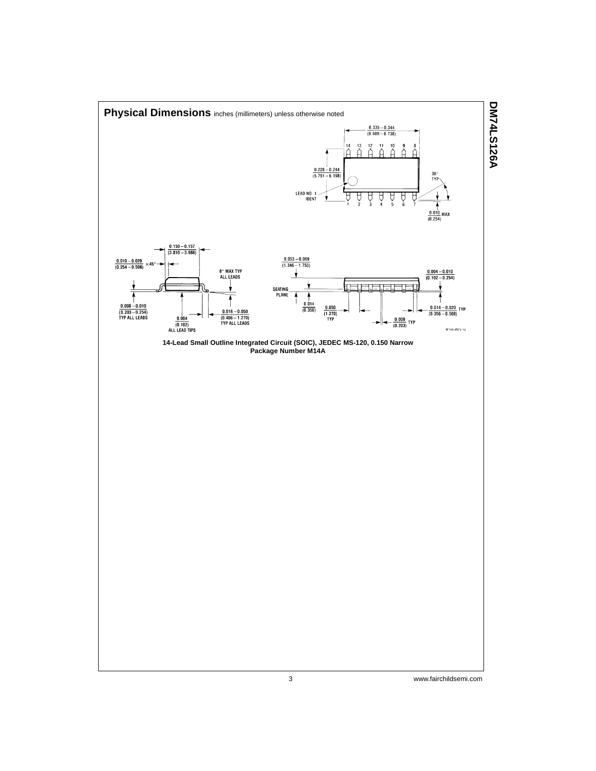

**DM74LS126A**

3 www.fairchildsemi.com